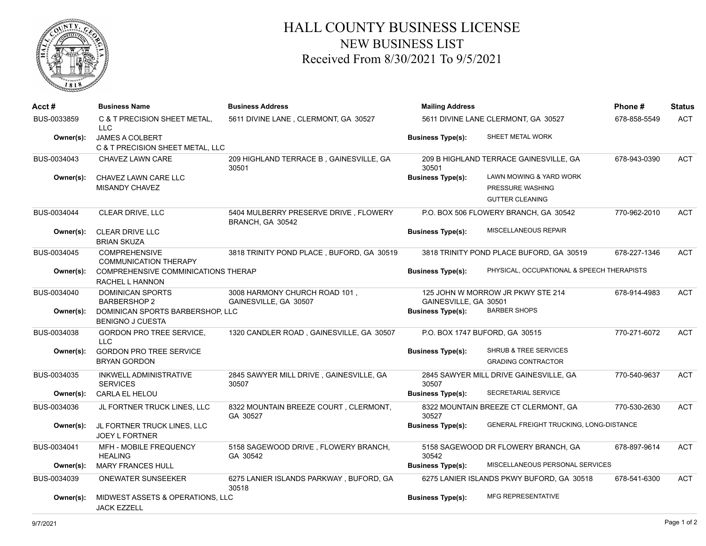

## HALL COUNTY BUSINESS LICENSE NEW BUSINESS LIST Received From 8/30/2021 To 9/5/2021

| Acct #      | <b>Business Name</b>                                          | <b>Business Address</b>                                   | <b>Mailing Address</b>                |                                            | Phone#       | <b>Status</b> |
|-------------|---------------------------------------------------------------|-----------------------------------------------------------|---------------------------------------|--------------------------------------------|--------------|---------------|
| BUS-0033859 | C & T PRECISION SHEET METAL,<br><b>LLC</b>                    | 5611 DIVINE LANE, CLERMONT, GA 30527                      | 5611 DIVINE LANE CLERMONT, GA 30527   |                                            | 678-858-5549 | <b>ACT</b>    |
| Owner(s):   | <b>JAMES A COLBERT</b><br>C & T PRECISION SHEET METAL, LLC    |                                                           | <b>Business Type(s):</b>              | SHEET METAL WORK                           |              |               |
| BUS-0034043 | CHAVEZ LAWN CARE                                              | 209 HIGHLAND TERRACE B, GAINESVILLE, GA<br>30501          | 30501                                 | 209 B HIGHLAND TERRACE GAINESVILLE, GA     | 678-943-0390 | ACT           |
| Owner(s):   | CHAVEZ LAWN CARE LLC                                          |                                                           | <b>Business Type(s):</b>              | LAWN MOWING & YARD WORK                    |              |               |
|             | MISANDY CHAVEZ                                                |                                                           |                                       | PRESSURE WASHING                           |              |               |
|             |                                                               |                                                           |                                       | <b>GUTTER CLEANING</b>                     |              |               |
| BUS-0034044 | CLEAR DRIVE, LLC                                              | 5404 MULBERRY PRESERVE DRIVE, FLOWERY<br>BRANCH, GA 30542 | P.O. BOX 506 FLOWERY BRANCH, GA 30542 |                                            | 770-962-2010 | <b>ACT</b>    |
| Owner(s):   | CLEAR DRIVE LLC<br><b>BRIAN SKUZA</b>                         |                                                           | <b>Business Type(s):</b>              | <b>MISCELLANEOUS REPAIR</b>                |              |               |
| BUS-0034045 | <b>COMPREHENSIVE</b><br><b>COMMUNICATION THERAPY</b>          | 3818 TRINITY POND PLACE, BUFORD, GA 30519                 |                                       | 3818 TRINITY POND PLACE BUFORD, GA 30519   | 678-227-1346 | <b>ACT</b>    |
| Owner(s):   | <b>COMPREHENSIVE COMMINICATIONS THERAP</b><br>RACHEL L HANNON |                                                           | <b>Business Type(s):</b>              | PHYSICAL, OCCUPATIONAL & SPEECH THERAPISTS |              |               |
| BUS-0034040 | <b>DOMINICAN SPORTS</b><br><b>BARBERSHOP 2</b>                | 3008 HARMONY CHURCH ROAD 101,<br>GAINESVILLE, GA 30507    | GAINESVILLE, GA 30501                 | 125 JOHN W MORROW JR PKWY STE 214          | 678-914-4983 | ACT           |
| Owner(s):   | DOMINICAN SPORTS BARBERSHOP, LLC<br><b>BENIGNO J CUESTA</b>   |                                                           | <b>Business Type(s):</b>              | <b>BARBER SHOPS</b>                        |              |               |
| BUS-0034038 | <b>GORDON PRO TREE SERVICE.</b><br><b>LLC</b>                 | 1320 CANDLER ROAD, GAINESVILLE, GA 30507                  |                                       | P.O. BOX 1747 BUFORD, GA 30515             | 770-271-6072 | <b>ACT</b>    |
| Owner(s):   | <b>GORDON PRO TREE SERVICE</b>                                |                                                           | <b>Business Type(s):</b>              | <b>SHRUB &amp; TREE SERVICES</b>           |              |               |
|             | <b>BRYAN GORDON</b>                                           |                                                           |                                       | <b>GRADING CONTRACTOR</b>                  |              |               |
| BUS-0034035 | INKWELL ADMINISTRATIVE<br><b>SERVICES</b>                     | 2845 SAWYER MILL DRIVE, GAINESVILLE, GA<br>30507          | 30507                                 | 2845 SAWYER MILL DRIVE GAINESVILLE, GA     | 770-540-9637 | <b>ACT</b>    |
| Owner(s):   | <b>CARLA EL HELOU</b>                                         |                                                           | <b>Business Type(s):</b>              | SECRETARIAL SERVICE                        |              |               |
| BUS-0034036 | JL FORTNER TRUCK LINES, LLC                                   | 8322 MOUNTAIN BREEZE COURT, CLERMONT,<br>GA 30527         | 30527                                 | 8322 MOUNTAIN BREEZE CT CLERMONT, GA       | 770-530-2630 | ACT           |
| Owner(s):   | JL FORTNER TRUCK LINES, LLC<br><b>JOEY L FORTNER</b>          |                                                           | <b>Business Type(s):</b>              | GENERAL FREIGHT TRUCKING, LONG-DISTANCE    |              |               |
| BUS-0034041 | MFH - MOBILE FREQUENCY<br><b>HEALING</b>                      | 5158 SAGEWOOD DRIVE, FLOWERY BRANCH,<br>GA 30542          | 30542                                 | 5158 SAGEWOOD DR FLOWERY BRANCH, GA        | 678-897-9614 | <b>ACT</b>    |
| Owner(s):   | <b>MARY FRANCES HULL</b>                                      |                                                           | <b>Business Type(s):</b>              | MISCELLANEOUS PERSONAL SERVICES            |              |               |
| BUS-0034039 | <b>ONEWATER SUNSEEKER</b>                                     | 6275 LANIER ISLANDS PARKWAY, BUFORD, GA<br>30518          |                                       | 6275 LANIER ISLANDS PKWY BUFORD, GA 30518  | 678-541-6300 | ACT           |
| Owner(s):   | MIDWEST ASSETS & OPERATIONS, LLC<br><b>JACK EZZELL</b>        |                                                           | <b>Business Type(s):</b>              | <b>MFG REPRESENTATIVE</b>                  |              |               |